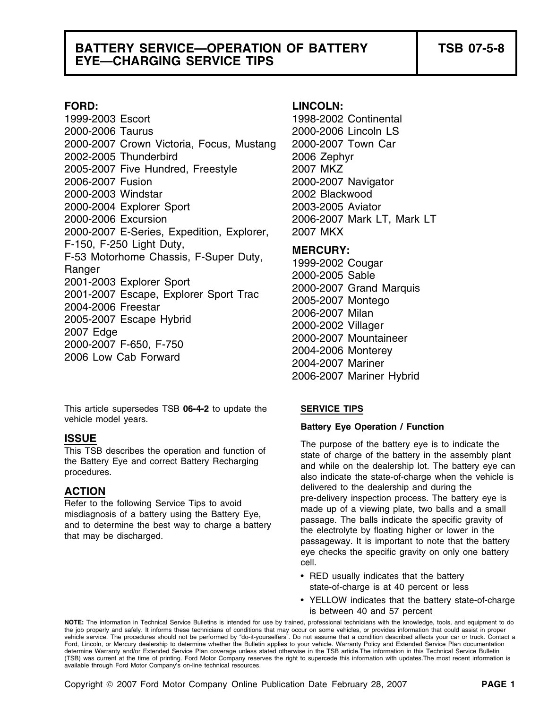## **BATTERY SERVICE—OPERATION OF BATTERY TSB 07-5-8 EYE—CHARGING SERVICE TIPS**

1999-2003 Escort 1998-2002 Continental 2000-2006 Taurus 2000-2006 Lincoln LS 2000-2007 Crown Victoria, Focus, Mustang 2000-2007 Town Car 2002-2005 Thunderbird 2006 Zephyr 2005-2007 Five Hundred, Freestyle 2007 MKZ 2006-2007 Fusion 2000-2007 Navigator 2000-2003 Windstar 2002 Blackwood 2000-2004 Explorer Sport 2003-2005 Aviator 2000-2006 Excursion 2006-2007 Mark LT, Mark LT 2000-2007 E-Series, Expedition, Explorer, 2007 MKX F-150, F-250 Light Duty,<br>
F-53 Motorhome Chassis, F-Super Duty,<br>
Ranger<br>
2001-2003 Explorer Sport<br>
2001-2007 Escape, Explorer Sport Trac<br>
2000-2007 Grand Marquis<br>
2004-2006 Freestar<br>
2005-2007 Montego<br>
2005-2007 Escape Hyb

This article supersedes TSB **06-4-2** to update the **SERVICE TIPS** vehicle model years.<br> **Battery Eye Operation / Function / Function / Function / Function / Function / Function** 

### **FORD: LINCOLN:**

2006-2007 Mariner Hybrid

**ISSUE**<br>This TSB describes the operation and function of<br>the Battery Eye and correct Battery Recharging<br>procedures.<br>also indicate the state-of-charge when the vehicle is **ACTION**<br>
Refer to the following Service Tips to avoid<br>
misdiagnosis of a battery using the Battery Eye,<br>
and to determine the best way to charge a battery<br>
that may be discharged.<br>
that may be discharged.<br>
The balls indic eye checks the specific gravity on only one battery cell.

- RED usually indicates that the battery state-of-charge is at 40 percent or less
- YELLOW indicates that the battery state-of-charge is between 40 and 57 percent

**NOTE:** The information in Technical Service Bulletins is intended for use by trained, professional technicians with the knowledge, tools, and equipment to do the job properly and safely. It informs these technicians of conditions that may occur on some vehicles, or provides information that could assist in proper vehicle service. The procedures should not be performed by "do-it-yourselfers". Do not assume that a condition described affects your car or truck. Contact a Ford, Lincoln, or Mercury dealership to determine whether the Bulletin applies to your vehicle. Warranty Policy and Extended Service Plan documentation determine Warranty and/or Extended Service Plan coverage unless stated otherwise in the TSB article.The information in this Technical Service Bulletin (TSB) was current at the time of printing. Ford Motor Company reserves the right to supercede this information with updates.The most recent information is available through Ford Motor Company's on-line technical resources.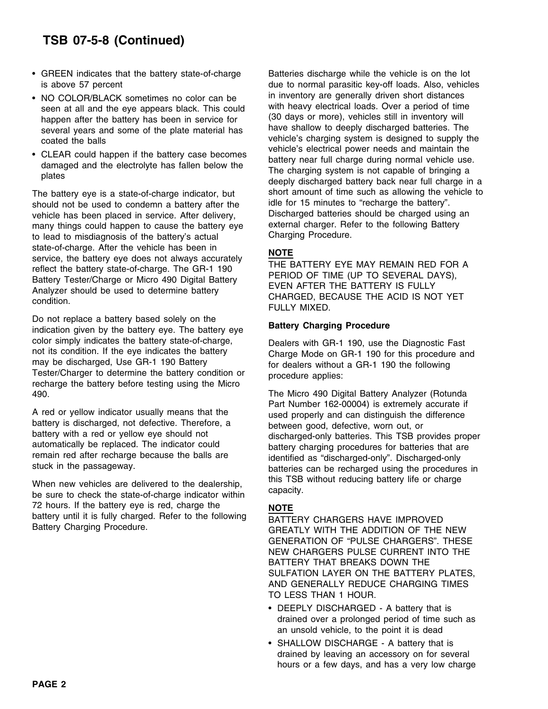# **TSB 07-5-8 (Continued)**

- GREEN indicates that the battery state-of-charge batteries discharge while the vehicle is on the lot
- NO COLOR/BLACK sometimes no color can be some in inventory are generally driven short distances
- 

should not be used to condemn a battery after the idle for 15 minutes to "recharge the battery".<br>
vehicle has been placed in service. After delivery in Discharged batteries should be charged using an vehicle has been placed in service. After delivery, Discharged batteries should be charged using a<br>many things could bappen to cause the battery eve external charger. Refer to the following Battery many things could happen to cause the battery eye external charger. Ref<br>to lead to misdiagnosis of the battery's actual Charging Procedure. to lead to misdiagnosis of the battery's actual state-of-charge. After the vehicle has been in state-of-charge. After the vehicle has been in<br>service, the battery eye does not always accurately<br>reflect the battery state-of-charge. The GR-1 190<br>Battery Tester/Charge or Micro 490 Digital Battery<br>Analyzer should be use

Do not replace a battery based solely on the **Battery Charging Procedure** indication given by the battery eye. The battery eye color simply indicates the battery state-of-charge,<br>not its condition. If the eye indicates the battery<br>may be discharged, Use GR-1 190 Battery<br>Tester/Charger to determine the battery condition or<br>recharge the battery befo 490. The Micro 490 Digital Battery Analyzer (Rotunda

When new vehicles are delivered to the dealership, this TSB without reducing battery life or charge be sure to check the state-of-charge indicator within 72 hours. If the battery eye is red, charge the **NOTE** battery until it is fully charged. Refer to the following  $\overline{BATTERY}$  CHARGERS HAVE IMPROVED<br>Battery Charging Procedure.

is above 57 percent due to normal parasitic key-off loads. Also, vehicles seen at all and the eye appears black. This could<br>happen after the battery has been in service for (30 days or more), vehicles still in inventory will<br>several years and some of the plate material has<br>coated the balls<br>coate vehicle's electrical power needs and maintain the<br>dragged and the electrical power section of the electrical power section of the electrical power section of the damaged and the electrolyte has fallen below the<br>plates<br>deeply discharged battery back near full charge in a<br>deeply discharged battery back near full charge in a The battery eye is a state-of-charge indicator, but<br>should not be used to condemn a battery after the idle for 15 minutes to "recharge the battery".

A red or yellow indicator usually means that the<br>battery is discharged, not defective. Therefore, a<br>battery with a red or yellow eye should not<br>automatically be replaced. The indicator could<br>remain red after recharge becau

GREATLY WITH THE ADDITION OF THE NEW GENERATION OF "PULSE CHARGERS". THESE NEW CHARGERS PULSE CURRENT INTO THE BATTERY THAT BREAKS DOWN THE SULFATION LAYER ON THE BATTERY PLATES, AND GENERALLY REDUCE CHARGING TIMES TO LESS THAN 1 HOUR.

- DEEPLY DISCHARGED A battery that is drained over a prolonged period of time such as an unsold vehicle, to the point it is dead
- SHALLOW DISCHARGE A battery that is drained by leaving an accessory on for several hours or a few days, and has a very low charge